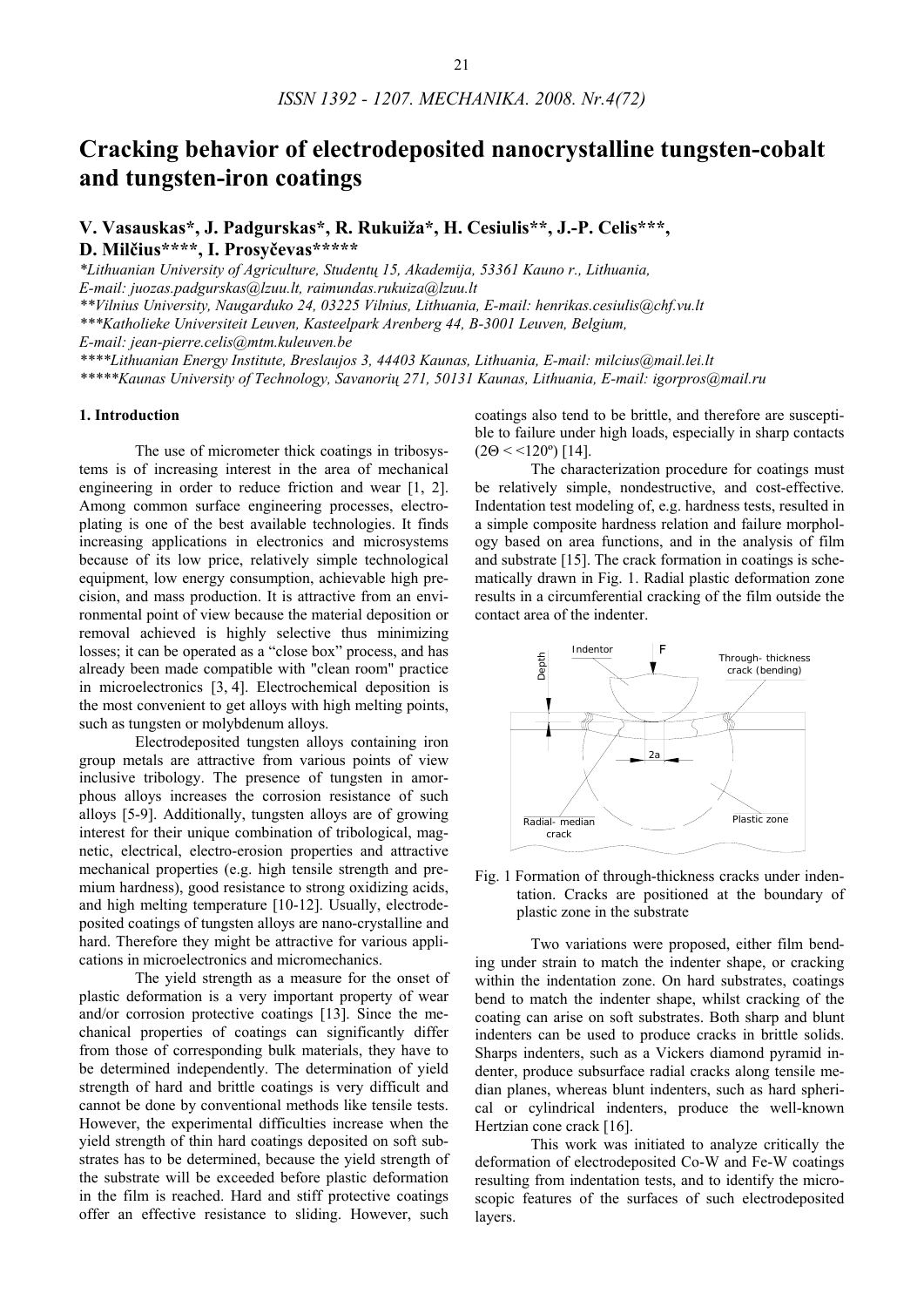# **Cracking behavior of electrodeposited nanocrystalline tungsten-cobalt and tungsten-iron coatings**

**V. Vasauskas\*, J. Padgurskas\*, R. Rukuiža\*, H. Cesiulis\*\*, J.-P. Celis\*\*\*, D. Milčius\*\*\*\*, I. Prosyčevas\*\*\*\*\*** 

*\*Lithuanian University of Agriculture, Studentų 15, Akademija, 53361 Kauno r., Lithuania,* 

*E-mail: juozas.padgurskas@lzuu.lt, raimundas.rukuiza@lzuu.lt* 

*\*\*Vilnius University, Naugarduko 24, 03225 Vilnius, Lithuania, E-mail: henrikas.cesiulis@chf.vu.lt*

*\*\*\*Katholieke Universiteit Leuven, Kasteelpark Arenberg 44, B-3001 Leuven, Belgium,* 

*E-mail: jean-pierre.celis@mtm.kuleuven.be*

*\*\*\*\*Lithuanian Energy Institute, Breslaujos 3, 44403 Kaunas, Lithuania, E-mail: milcius@mail.lei.lt*

*\*\*\*\*\*Kaunas University of Technology, Savanorių 271, 50131 Kaunas, Lithuania, E-mail: igorpros@mail.ru*

# **1. Introduction**

The use of micrometer thick coatings in tribosystems is of increasing interest in the area of mechanical engineering in order to reduce friction and wear [1, 2]. Among common surface engineering processes, electroplating is one of the best available technologies. It finds increasing applications in electronics and microsystems because of its low price, relatively simple technological equipment, low energy consumption, achievable high precision, and mass production. It is attractive from an environmental point of view because the material deposition or removal achieved is highly selective thus minimizing losses; it can be operated as a "close box" process, and has already been made compatible with "clean room" practice in microelectronics [3, 4]. Electrochemical deposition is the most convenient to get alloys with high melting points, such as tungsten or molybdenum alloys.

Electrodeposited tungsten alloys containing iron group metals are attractive from various points of view inclusive tribology. The presence of tungsten in amorphous alloys increases the corrosion resistance of such alloys [5-9]. Additionally, tungsten alloys are of growing interest for their unique combination of tribological, magnetic, electrical, electro-erosion properties and attractive mechanical properties (e.g. high tensile strength and premium hardness), good resistance to strong oxidizing acids, and high melting temperature [10-12]. Usually, electrodeposited coatings of tungsten alloys are nano-crystalline and hard. Therefore they might be attractive for various applications in microelectronics and micromechanics.

The yield strength as a measure for the onset of plastic deformation is a very important property of wear and/or corrosion protective coatings [13]. Since the mechanical properties of coatings can significantly differ from those of corresponding bulk materials, they have to be determined independently. The determination of yield strength of hard and brittle coatings is very difficult and cannot be done by conventional methods like tensile tests. However, the experimental difficulties increase when the yield strength of thin hard coatings deposited on soft substrates has to be determined, because the yield strength of the substrate will be exceeded before plastic deformation in the film is reached. Hard and stiff protective coatings offer an effective resistance to sliding. However, such

coatings also tend to be brittle, and therefore are susceptible to failure under high loads, especially in sharp contacts  $(2\Theta < 120^{\circ})$  [14].

The characterization procedure for coatings must be relatively simple, nondestructive, and cost-effective. Indentation test modeling of, e.g. hardness tests, resulted in a simple composite hardness relation and failure morphology based on area functions, and in the analysis of film and substrate [15]. The crack formation in coatings is schematically drawn in Fig. 1. Radial plastic deformation zone results in a circumferential cracking of the film outside the contact area of the indenter.



Fig. 1 Formation of through-thickness cracks under indentation. Cracks are positioned at the boundary of plastic zone in the substrate

Two variations were proposed, either film bending under strain to match the indenter shape, or cracking within the indentation zone. On hard substrates, coatings bend to match the indenter shape, whilst cracking of the coating can arise on soft substrates. Both sharp and blunt indenters can be used to produce cracks in brittle solids. Sharps indenters, such as a Vickers diamond pyramid indenter, produce subsurface radial cracks along tensile median planes, whereas blunt indenters, such as hard spherical or cylindrical indenters, produce the well-known Hertzian cone crack [16].

This work was initiated to analyze critically the deformation of electrodeposited Co-W and Fe-W coatings resulting from indentation tests, and to identify the microscopic features of the surfaces of such electrodeposited layers.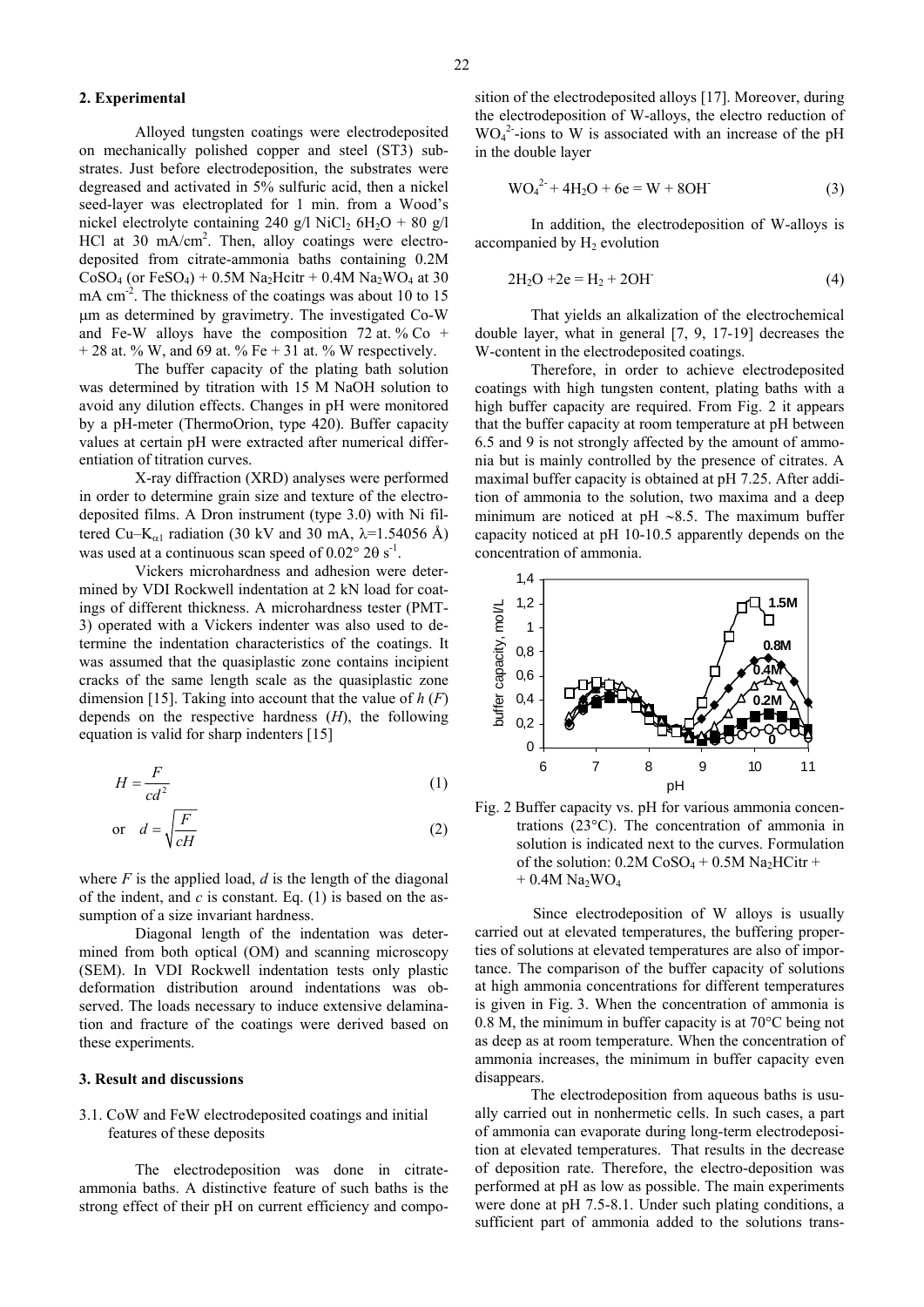#### **2. Experimental**

Alloyed tungsten coatings were electrodeposited on mechanically polished copper and steel (ST3) substrates. Just before electrodeposition, the substrates were degreased and activated in 5% sulfuric acid, then a nickel seed-layer was electroplated for 1 min. from a Wood's nickel electrolyte containing 240 g/l NiCl<sub>2</sub>  $6H_2O + 80$  g/l HCl at 30 mA/cm<sup>2</sup>. Then, alloy coatings were electrodeposited from citrate-ammonia baths containing 0.2M  $CoSO<sub>4</sub>$  (or FeSO<sub>4</sub>) + 0.5M Na<sub>2</sub>Hcitr + 0.4M Na<sub>2</sub>WO<sub>4</sub> at 30 mA cm<sup>-2</sup>. The thickness of the coatings was about 10 to 15 μm as determined by gravimetry. The investigated Co-W and Fe-W alloys have the composition  $72$  at. % Co +  $+ 28$  at. % W, and 69 at. % Fe  $+ 31$  at. % W respectively.

The buffer capacity of the plating bath solution was determined by titration with 15 M NaOH solution to avoid any dilution effects. Changes in pH were monitored by a pH-meter (ThermoOrion, type 420). Buffer capacity values at certain pH were extracted after numerical differentiation of titration curves.

X-ray diffraction (XRD) analyses were performed in order to determine grain size and texture of the electrodeposited films. A Dron instrument (type 3.0) with Ni filtered Cu–K<sub>α1</sub> radiation (30 kV and 30 mA,  $\lambda$ =1.54056 Å) was used at a continuous scan speed of  $0.02^{\circ}$  2θ s<sup>-1</sup>.

Vickers microhardness and adhesion were determined by VDI Rockwell indentation at 2 kN load for coatings of different thickness. A microhardness tester (PMT-3) operated with a Vickers indenter was also used to determine the indentation characteristics of the coatings. It was assumed that the quasiplastic zone contains incipient cracks of the same length scale as the quasiplastic zone dimension [15]. Taking into account that the value of *h* (*F*) depends on the respective hardness (*H*), the following equation is valid for sharp indenters [15]

$$
H = \frac{F}{cd^2} \tag{1}
$$

$$
\text{or} \quad d = \sqrt{\frac{F}{cH}} \tag{2}
$$

where  $F$  is the applied load,  $d$  is the length of the diagonal of the indent, and  $c$  is constant. Eq.  $(1)$  is based on the assumption of a size invariant hardness.

Diagonal length of the indentation was determined from both optical (OM) and scanning microscopy (SEM). In VDI Rockwell indentation tests only plastic deformation distribution around indentations was observed. The loads necessary to induce extensive delamination and fracture of the coatings were derived based on these experiments.

#### **3. Result and discussions**

## 3.1. CoW and FeW electrodeposited coatings and initial features of these deposits

The electrodeposition was done in citrateammonia baths. A distinctive feature of such baths is the strong effect of their pH on current efficiency and composition of the electrodeposited alloys [17]. Moreover, during the electrodeposition of W-alloys, the electro reduction of WO<sub>4</sub><sup>2</sup>-ions to W is associated with an increase of the pH in the double layer

$$
WO_4^{2-} + 4H_2O + 6e = W + 8OH
$$
 (3)

In addition, the electrodeposition of W-alloys is accompanied by  $H_2$  evolution

$$
2H_2O + 2e = H_2 + 2OH
$$
 (4)

That yields an alkalization of the electrochemical double layer, what in general [7, 9, 17-19] decreases the W-content in the electrodeposited coatings.

Therefore, in order to achieve electrodeposited coatings with high tungsten content, plating baths with a high buffer capacity are required. From Fig. 2 it appears that the buffer capacity at room temperature at pH between 6.5 and 9 is not strongly affected by the amount of ammonia but is mainly controlled by the presence of citrates. A maximal buffer capacity is obtained at pH 7.25. After addition of ammonia to the solution, two maxima and a deep minimum are noticed at pH ∼8.5. The maximum buffer capacity noticed at pH 10-10.5 apparently depends on the concentration of ammonia.



Fig. 2 Buffer capacity vs. pH for various ammonia concentrations (23°C). The concentration of ammonia in solution is indicated next to the curves. Formulation of the solution:  $0.2M \cos 0.4 + 0.5M \text{ Na}_2H\text{Citr} +$  $+ 0.4M$  Na<sub>2</sub>WO<sub>4</sub>

Since electrodeposition of W alloys is usually carried out at elevated temperatures, the buffering properties of solutions at elevated temperatures are also of importance. The comparison of the buffer capacity of solutions at high ammonia concentrations for different temperatures is given in Fig. 3. When the concentration of ammonia is 0.8 M, the minimum in buffer capacity is at 70°C being not as deep as at room temperature. When the concentration of ammonia increases, the minimum in buffer capacity even disappears.

The electrodeposition from aqueous baths is usually carried out in nonhermetic cells. In such cases, a part of ammonia can evaporate during long-term electrodeposition at elevated temperatures. That results in the decrease of deposition rate. Therefore, the electro-deposition was performed at pH as low as possible. The main experiments were done at pH 7.5-8.1. Under such plating conditions, a sufficient part of ammonia added to the solutions trans-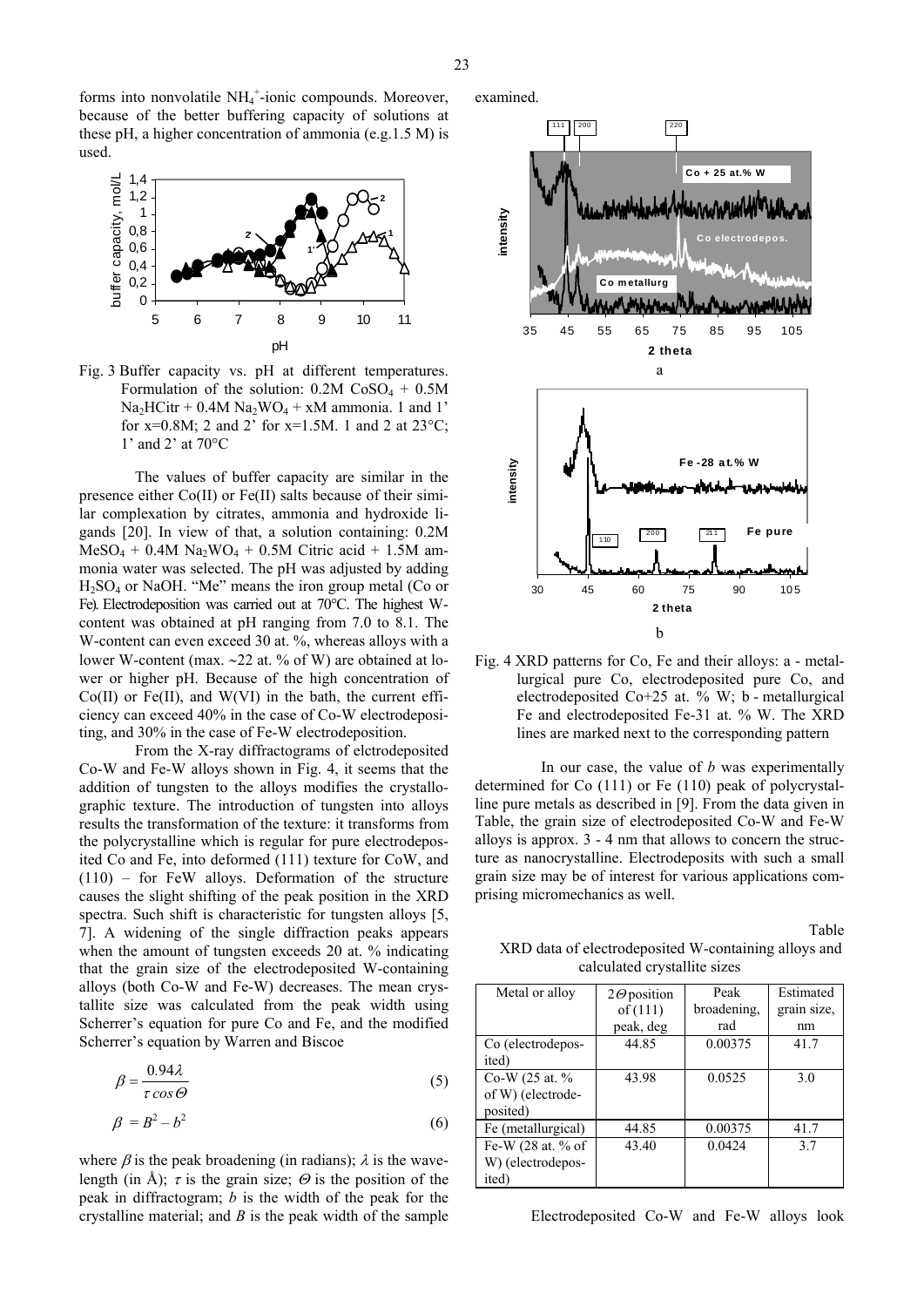

Fig. 3 Buffer capacity vs. pH at different temperatures. Formulation of the solution:  $0.2M \cos 0.4 + 0.5M$  $Na<sub>2</sub>HCitr + 0.4M Na<sub>2</sub>WO<sub>4</sub> + xM ammonia. 1 and 1'$ for x=0.8M; 2 and 2' for x=1.5M. 1 and 2 at  $23^{\circ}$ C; 1' and 2' at 70°C

The values of buffer capacity are similar in the presence either Co(II) or Fe(II) salts because of their similar complexation by citrates, ammonia and hydroxide ligands [20]. In view of that, a solution containing: 0.2M  $MeSO_4 + 0.4M$  Na<sub>2</sub>WO<sub>4</sub> + 0.5M Citric acid + 1.5M ammonia water was selected. The pH was adjusted by adding  $H<sub>2</sub>SO<sub>4</sub>$  or NaOH. "Me" means the iron group metal (Co or Fe). Electrodeposition was carried out at 70°C. The highest Wcontent was obtained at pH ranging from 7.0 to 8.1. The W-content can even exceed 30 at. %, whereas alloys with a lower W-content (max. ∼22 at. % of W) are obtained at lower or higher pH. Because of the high concentration of  $Co(II)$  or  $Fe(II)$ , and  $W(VI)$  in the bath, the current efficiency can exceed 40% in the case of Co-W electrodepositing, and 30% in the case of Fe-W electrodeposition.

From the X-ray diffractograms of elctrodeposited Co-W and Fe-W alloys shown in Fig. 4, it seems that the addition of tungsten to the alloys modifies the crystallographic texture. The introduction of tungsten into alloys results the transformation of the texture: it transforms from the polycrystalline which is regular for pure electrodeposited Co and Fe, into deformed (111) texture for CoW, and (110) – for FeW alloys. Deformation of the structure causes the slight shifting of the peak position in the XRD spectra. Such shift is characteristic for tungsten alloys [5, 7]. A widening of the single diffraction peaks appears when the amount of tungsten exceeds 20 at. % indicating that the grain size of the electrodeposited W-containing alloys (both Co-W and Fe-W) decreases. The mean crystallite size was calculated from the peak width using Scherrer's equation for pure Co and Fe, and the modified Scherrer's equation by Warren and Biscoe

$$
\beta = \frac{0.94\lambda}{\tau \cos \Theta} \tag{5}
$$

$$
\beta = B^2 - b^2 \tag{6}
$$

where  $\beta$  is the peak broadening (in radians);  $\lambda$  is the wavelength (in Å);  $\tau$  is the grain size;  $\Theta$  is the position of the peak in diffractogram; *b* is the width of the peak for the crystalline material; and *B* is the peak width of the sample examined.



Fig. 4 XRD patterns for Co, Fe and their alloys: a - metallurgical pure Co, electrodeposited pure Co, and electrodeposited Co+25 at. % W; b - metallurgical Fe and electrodeposited Fe-31 at. % W. The XRD lines are marked next to the corresponding pattern

In our case, the value of *b* was experimentally determined for Co (111) or Fe (110) peak of polycrystalline pure metals as described in [9]. From the data given in Table, the grain size of electrodeposited Co-W and Fe-W alloys is approx. 3 - 4 nm that allows to concern the structure as nanocrystalline. Electrodeposits with such a small grain size may be of interest for various applications comprising micromechanics as well.

| Table                                                |
|------------------------------------------------------|
| XRD data of electrodeposited W-containing alloys and |
| calculated crystallite sizes                         |

| Metal or alloy     | $2\Theta$ position | Peak        | Estimated   |
|--------------------|--------------------|-------------|-------------|
|                    | of $(111)$         | broadening, | grain size, |
|                    | peak, deg          | rad         | nm          |
| Co (electrodepos-  | 44.85              | 0.00375     | 41.7        |
| ited)              |                    |             |             |
| Co-W $(25$ at. %   | 43.98              | 0.0525      | 30          |
| of W) (electrode-  |                    |             |             |
| posited)           |                    |             |             |
| Fe (metallurgical) | 44.85              | 0.00375     | 41.7        |
| Fe-W (28 at. % of  | 43.40              | 0.0424      | 37          |
| W) (electrodepos-  |                    |             |             |
| ited)              |                    |             |             |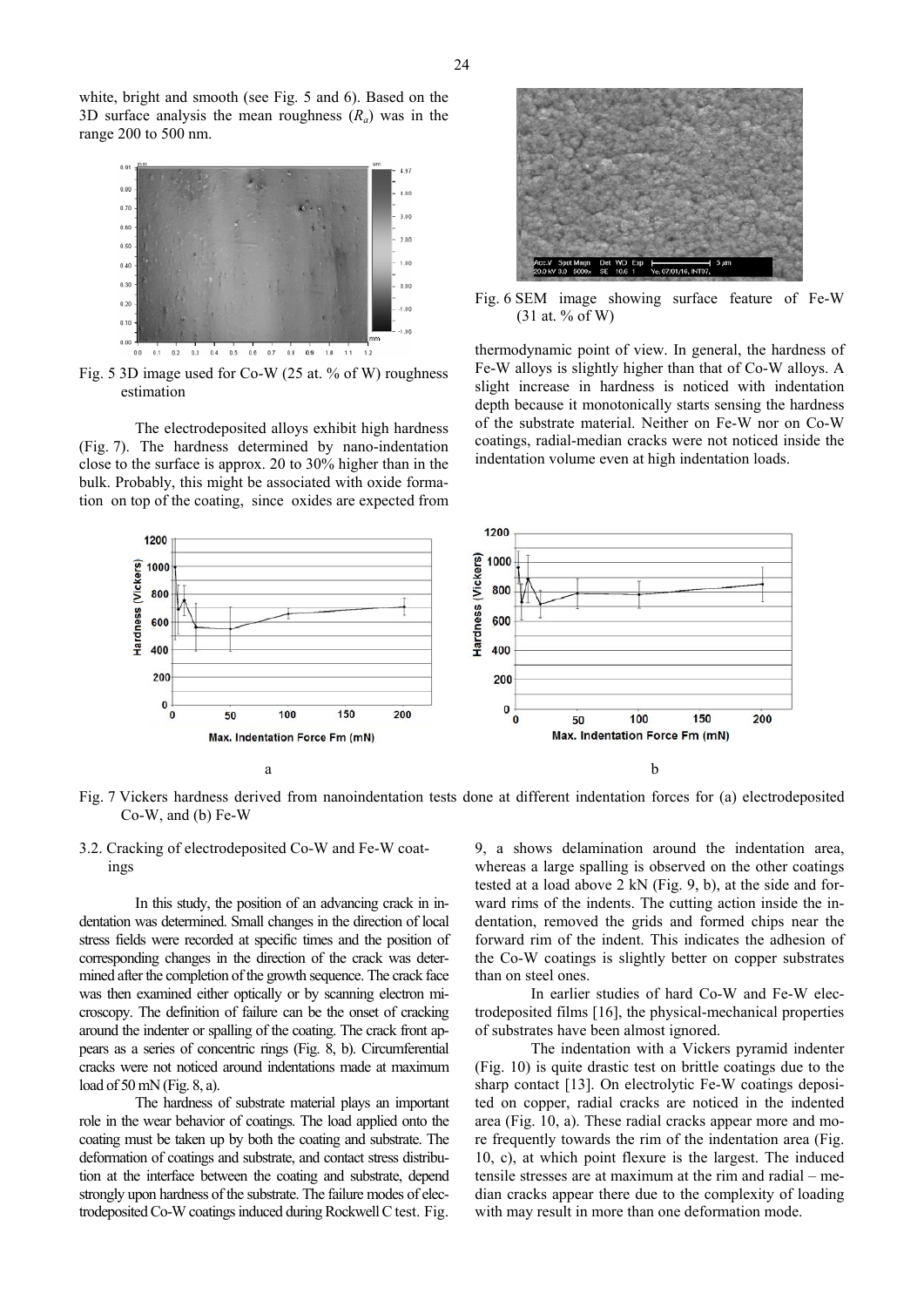white, bright and smooth (see Fig. 5 and 6). Based on the 3D surface analysis the mean roughness  $(R_a)$  was in the range 200 to 500 nm.



Fig. 5 3D image used for Co-W (25 at. % of W) roughness estimation

The electrodeposited alloys exhibit high hardness (Fig. 7). The hardness determined by nano-indentation close to the surface is approx. 20 to 30% higher than in the bulk. Probably, this might be associated with oxide formation on top of the coating, since oxides are expected from



Fig. 6 SEM image showing surface feature of Fe-W  $(31$  at. % of W)

thermodynamic point of view. In general, the hardness of Fe-W alloys is slightly higher than that of Co-W alloys. A slight increase in hardness is noticed with indentation depth because it monotonically starts sensing the hardness of the substrate material. Neither on Fe-W nor on Co-W coatings, radial-median cracks were not noticed inside the indentation volume even at high indentation loads.



Fig. 7 Vickers hardness derived from nanoindentation tests done at different indentation forces for (a) electrodeposited Co-W, and (b) Fe-W

## 3.2. Cracking of electrodeposited Co-W and Fe-W coatings

In this study, the position of an advancing crack in indentation was determined. Small changes in the direction of local stress fields were recorded at specific times and the position of corresponding changes in the direction of the crack was determined after the completion of the growth sequence. The crack face was then examined either optically or by scanning electron microscopy. The definition of failure can be the onset of cracking around the indenter or spalling of the coating. The crack front appears as a series of concentric rings (Fig. 8, b). Circumferential cracks were not noticed around indentations made at maximum load of 50 mN (Fig. 8, a).

The hardness of substrate material plays an important role in the wear behavior of coatings. The load applied onto the coating must be taken up by both the coating and substrate. The deformation of coatings and substrate, and contact stress distribution at the interface between the coating and substrate, depend strongly upon hardness of the substrate. The failure modes of electrodeposited Co-W coatings induced during Rockwell C test. Fig.

9, a shows delamination around the indentation area, whereas a large spalling is observed on the other coatings tested at a load above 2 kN (Fig. 9, b), at the side and forward rims of the indents. The cutting action inside the indentation, removed the grids and formed chips near the forward rim of the indent. This indicates the adhesion of the Co-W coatings is slightly better on copper substrates than on steel ones.

In earlier studies of hard Co-W and Fe-W electrodeposited films [16], the physical-mechanical properties of substrates have been almost ignored.

The indentation with a Vickers pyramid indenter (Fig. 10) is quite drastic test on brittle coatings due to the sharp contact [13]. On electrolytic Fe-W coatings deposited on copper, radial cracks are noticed in the indented area (Fig. 10, a). These radial cracks appear more and more frequently towards the rim of the indentation area (Fig. 10, c), at which point flexure is the largest. The induced tensile stresses are at maximum at the rim and radial – median cracks appear there due to the complexity of loading with may result in more than one deformation mode.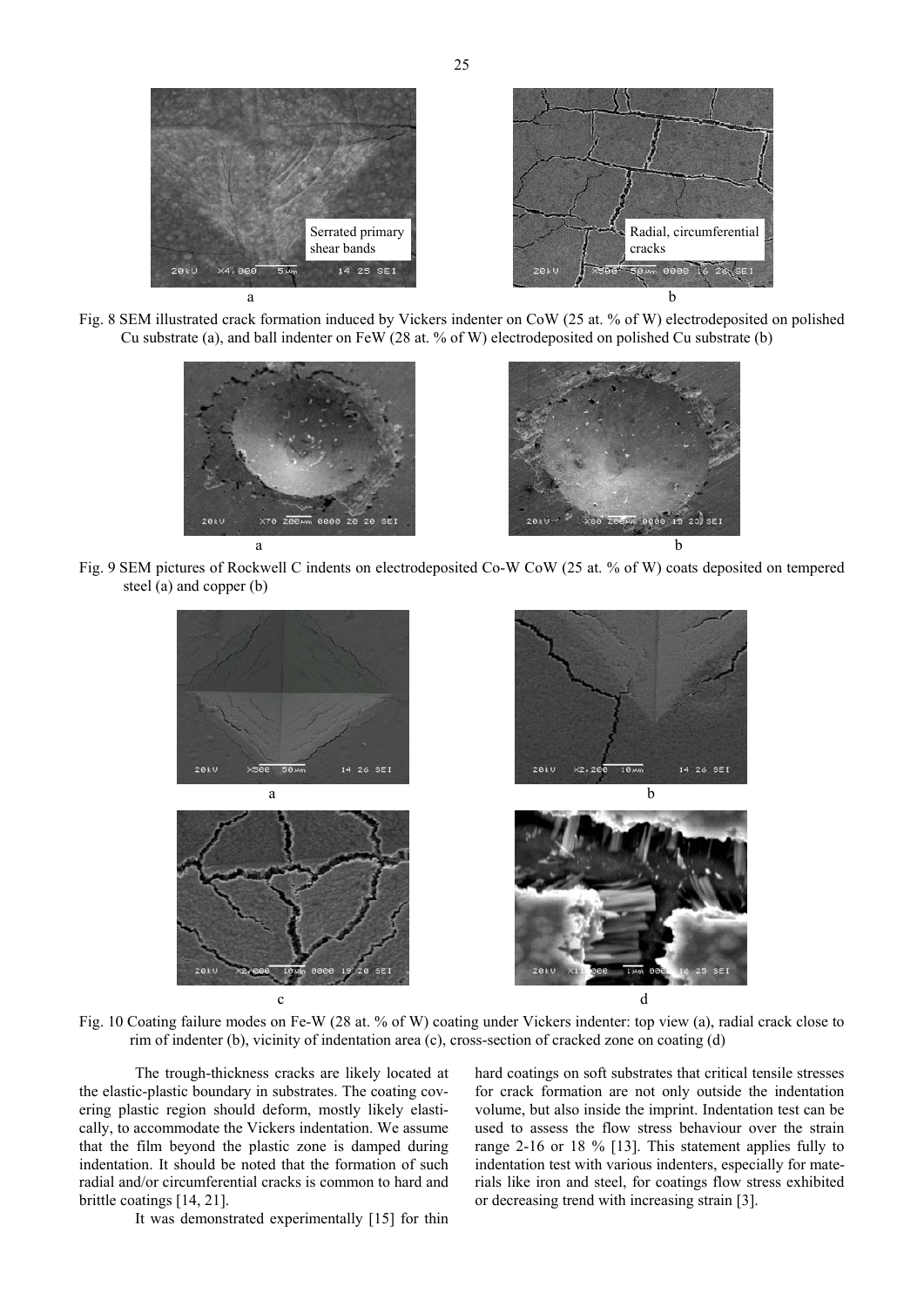

Fig. 8 SEM illustrated crack formation induced by Vickers indenter on CoW (25 at. % of W) electrodeposited on polished Cu substrate (a), and ball indenter on FeW (28 at. % of W) electrodeposited on polished Cu substrate (b)



Fig. 9 SEM pictures of Rockwell C indents on electrodeposited Co-W CoW (25 at. % of W) coats deposited on tempered steel (a) and copper (b)



Fig. 10 Coating failure modes on Fe-W (28 at. % of W) coating under Vickers indenter: top view (a), radial crack close to rim of indenter (b), vicinity of indentation area (c), cross-section of cracked zone on coating (d)

The trough-thickness cracks are likely located at the elastic-plastic boundary in substrates. The coating covering plastic region should deform, mostly likely elastically, to accommodate the Vickers indentation. We assume that the film beyond the plastic zone is damped during indentation. It should be noted that the formation of such radial and/or circumferential cracks is common to hard and brittle coatings [14, 21].

It was demonstrated experimentally [15] for thin

hard coatings on soft substrates that critical tensile stresses for crack formation are not only outside the indentation volume, but also inside the imprint. Indentation test can be used to assess the flow stress behaviour over the strain range 2-16 or 18 % [13]. This statement applies fully to indentation test with various indenters, especially for materials like iron and steel, for coatings flow stress exhibited or decreasing trend with increasing strain [3].

25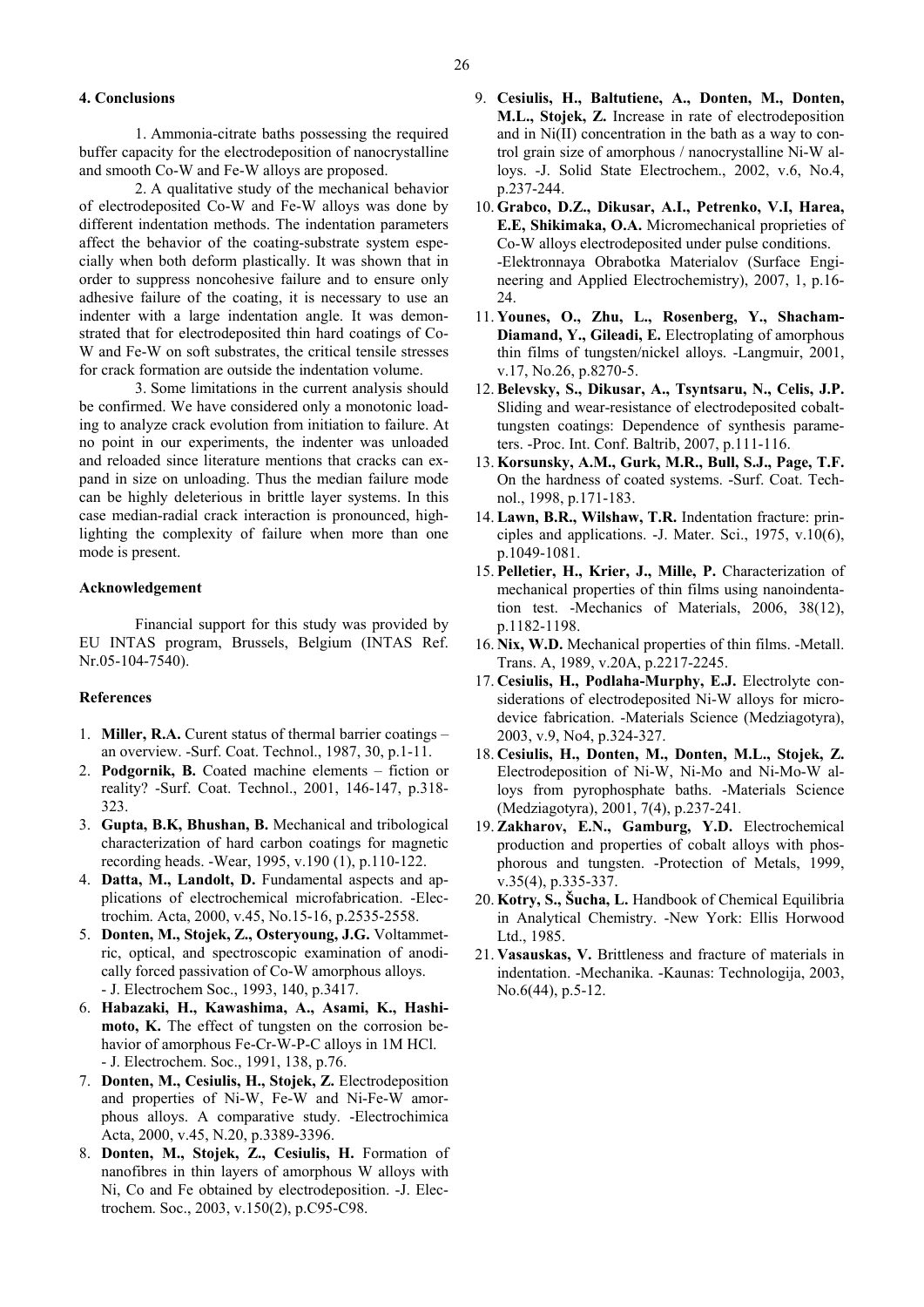#### **4. Conclusions**

1. Ammonia-citrate baths possessing the required buffer capacity for the electrodeposition of nanocrystalline and smooth Co-W and Fe-W alloys are proposed.

2. A qualitative study of the mechanical behavior of electrodeposited Co-W and Fe-W alloys was done by different indentation methods. The indentation parameters affect the behavior of the coating-substrate system especially when both deform plastically. It was shown that in order to suppress noncohesive failure and to ensure only adhesive failure of the coating, it is necessary to use an indenter with a large indentation angle. It was demonstrated that for electrodeposited thin hard coatings of Co-W and Fe-W on soft substrates, the critical tensile stresses for crack formation are outside the indentation volume.

3. Some limitations in the current analysis should be confirmed. We have considered only a monotonic loading to analyze crack evolution from initiation to failure. At no point in our experiments, the indenter was unloaded and reloaded since literature mentions that cracks can expand in size on unloading. Thus the median failure mode can be highly deleterious in brittle layer systems. In this case median-radial crack interaction is pronounced, highlighting the complexity of failure when more than one mode is present.

#### **Acknowledgement**

Financial support for this study was provided by EU INTAS program, Brussels, Belgium (INTAS Ref. Nr.05-104-7540).

## **References**

- 1. **Miller, R.A.** Curent status of thermal barrier coatings an overview. -Surf. Coat. Technol., 1987, 30, p.1-11.
- 2. **Podgornik, B.** Coated machine elements fiction or reality? -Surf. Coat. Technol., 2001, 146-147, p.318- 323.
- 3. **Gupta, B.K, Bhushan, B.** Mechanical and tribological characterization of hard carbon coatings for magnetic recording heads. -Wear, 1995, v.190 (1), p.110-122.
- 4. **Datta, M., Landolt, D.** Fundamental aspects and applications of electrochemical microfabrication. -Electrochim. Acta, 2000, v.45, No.15-16, p.2535-2558.
- 5. **Donten, M., Stojek, Z., Osteryoung, J.G.** Voltammetric, optical, and spectroscopic examination of anodically forced passivation of Co-W amorphous alloys. - J. Electrochem Soc., 1993, 140, p.3417.
- 6. **Habazaki, H., Kawashima, A., Asami, K., Hashimoto, K.** The effect of tungsten on the corrosion behavior of amorphous Fe-Cr-W-P-C alloys in 1M HCl. - J. Electrochem. Soc., 1991, 138, p.76.
- 7. **Donten, M., Cesiulis, H., Stojek, Z.** Electrodeposition and properties of Ni-W, Fe-W and Ni-Fe-W amorphous alloys. A comparative study. -Electrochimica Acta, 2000, v.45, N.20, p.3389-3396.
- 8. **Donten, M., Stojek, Z., Cesiulis, H.** Formation of nanofibres in thin layers of amorphous W alloys with Ni, Co and Fe obtained by electrodeposition. -J. Electrochem. Soc., 2003, v.150(2), p.C95-C98.
- 9. **Cesiulis, H., Baltutiene, A., Donten, M., Donten, M.L., Stojek, Z.** Increase in rate of electrodeposition and in Ni(II) concentration in the bath as a way to control grain size of amorphous / nanocrystalline Ni-W alloys. -J. Solid State Electrochem., 2002, v.6, No.4, p.237-244.
- 10. **Grabco, D.Z., Dikusar, A.I., Petrenko, V.I, Harea, E.E, Shikimaka, O.A.** Micromechanical proprieties of Co-W alloys electrodeposited under pulse conditions. -Elektronnaya Obrabotka Materialov (Surface Engineering and Applied Electrochemistry), 2007, 1, p.16- 24.
- 11. **Younes, O., Zhu, L., Rosenberg, Y., Shacham-Diamand, Y., Gileadi, E.** Electroplating of amorphous thin films of tungsten/nickel alloys. -Langmuir, 2001, v.17, No.26, p.8270-5.
- 12.**Belevsky, S., Dikusar, A., Tsyntsaru, N., Celis, J.P.** Sliding and wear-resistance of electrodeposited cobalttungsten coatings: Dependence of synthesis parameters. -Proc. Int. Conf. Baltrib, 2007, p.111-116.
- 13. **Korsunsky, A.M., Gurk, M.R., Bull, S.J., Page, T.F.** On the hardness of coated systems. -Surf. Coat. Technol., 1998, p.171-183.
- 14.**Lawn, B.R., Wilshaw, T.R.** Indentation fracture: principles and applications. -J. Mater. Sci., 1975, v.10(6), p.1049-1081.
- 15. **Pelletier, H., Krier, J., Mille, P.** Characterization of mechanical properties of thin films using nanoindentation test. -Mechanics of Materials, 2006, 38(12), p.1182-1198.
- 16. **Nix, W.D.** Mechanical properties of thin films. -Metall. Trans. A, 1989, v.20A, p.2217-2245.
- 17. **Cesiulis, H., Podlaha-Murphy, E.J.** Electrolyte considerations of electrodeposited Ni-W alloys for microdevice fabrication. -Materials Science (Medziagotyra), 2003, v.9, No4, p.324-327.
- 18. **Cesiulis, H., Donten, M., Donten, M.L., Stojek, Z.** Electrodeposition of Ni-W, Ni-Mo and Ni-Mo-W alloys from pyrophosphate baths. -Materials Science (Medziagotyra), 2001, 7(4), p.237-241*.*
- 19.**Zakharov, E.N., Gamburg, Y.D.** Electrochemical production and properties of cobalt alloys with phosphorous and tungsten. -Protection of Metals, 1999, v.35(4), p.335-337.
- 20. **Kotry, S., Šucha, L.** Handbook of Chemical Equilibria in Analytical Chemistry. -New York: Ellis Horwood Ltd., 1985.
- 21. **Vasauskas, V.** Brittleness and fracture of materials in indentation. -Mechanika. -Kaunas: Technologija, 2003, No.6(44), p.5-12.